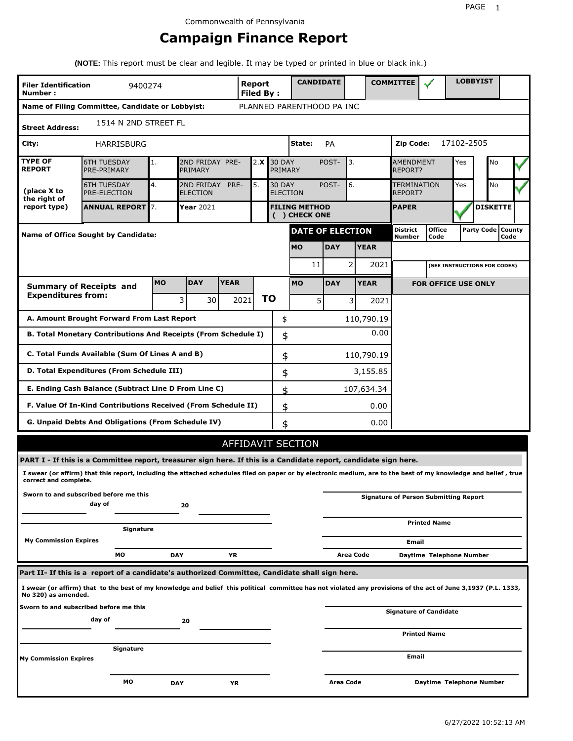# **Campaign Finance Report**

**(NOTE:** This report must be clear and legible. It may be typed or printed in blue or black ink.)

| <b>Filer Identification</b><br>9400274<br>Number: |                                                                                                                                                                 |            |                               |             |                           | Report<br>Filed By: |                                       |       | <b>CANDIDATE</b>        |                |                               | <b>COMMITTEE</b>            |                                              |            | <b>LOBBYIST</b>     |      |  |
|---------------------------------------------------|-----------------------------------------------------------------------------------------------------------------------------------------------------------------|------------|-------------------------------|-------------|---------------------------|---------------------|---------------------------------------|-------|-------------------------|----------------|-------------------------------|-----------------------------|----------------------------------------------|------------|---------------------|------|--|
|                                                   | Name of Filing Committee, Candidate or Lobbyist:                                                                                                                |            |                               |             | PLANNED PARENTHOOD PA INC |                     |                                       |       |                         |                |                               |                             |                                              |            |                     |      |  |
| <b>Street Address:</b>                            | 1514 N 2ND STREET FL                                                                                                                                            |            |                               |             |                           |                     |                                       |       |                         |                |                               |                             |                                              |            |                     |      |  |
| City:                                             | HARRISBURG                                                                                                                                                      |            |                               |             |                           |                     | State:                                |       | PA                      |                |                               | Zip Code:                   |                                              | 17102-2505 |                     |      |  |
| <b>TYPE OF</b><br><b>REPORT</b>                   | <b>6TH TUESDAY</b><br>PRE-PRIMARY                                                                                                                               | 1.         | 2ND FRIDAY PRE-<br>PRIMARY    |             | 2.X                       | <b>30 DAY</b>       | PRIMARY                               |       | POST-                   | 3.             |                               | <b>AMENDMENT</b><br>REPORT? |                                              | Yes        | No                  |      |  |
| (place X to<br>the right of                       | <b>6TH TUESDAY</b><br>PRE-ELECTION                                                                                                                              | 4.         | 2ND FRIDAY<br><b>ELECTION</b> | PRE-        | 5.                        | <b>30 DAY</b>       | <b>ELECTION</b>                       | POST- | 6.                      |                | <b>TERMINATION</b><br>REPORT? |                             | Yes                                          | No         |                     |      |  |
| report type)                                      | <b>ANNUAL REPORT 7.</b>                                                                                                                                         |            | <b>Year</b> 2021              |             |                           |                     | <b>FILING METHOD</b><br>( ) CHECK ONE |       |                         |                |                               | <b>PAPER</b>                |                                              |            | <b>DISKETTE</b>     |      |  |
|                                                   | <b>Name of Office Sought by Candidate:</b>                                                                                                                      |            |                               |             |                           |                     |                                       |       | <b>DATE OF ELECTION</b> |                |                               | <b>District</b><br>Number   | <b>Office</b><br>Code                        |            | Party Code   County | Code |  |
|                                                   |                                                                                                                                                                 |            |                               |             |                           |                     | <b>MO</b>                             |       | <b>DAY</b>              |                | <b>YEAR</b>                   |                             |                                              |            |                     |      |  |
|                                                   |                                                                                                                                                                 |            |                               |             |                           |                     |                                       | 11    |                         | 2              | 2021                          |                             | (SEE INSTRUCTIONS FOR CODES)                 |            |                     |      |  |
|                                                   | <b>Summary of Receipts and</b>                                                                                                                                  | <b>MO</b>  | <b>DAY</b>                    | <b>YEAR</b> |                           |                     | <b>MO</b>                             |       | <b>DAY</b>              |                | <b>YEAR</b>                   |                             | <b>FOR OFFICE USE ONLY</b>                   |            |                     |      |  |
| <b>Expenditures from:</b>                         |                                                                                                                                                                 |            | 3<br>30 I                     |             | 2021                      | ΤO                  |                                       | 5     |                         | $\overline{3}$ | 2021                          |                             |                                              |            |                     |      |  |
|                                                   | A. Amount Brought Forward From Last Report                                                                                                                      |            |                               |             |                           |                     | \$                                    |       |                         |                | 110,790.19                    |                             |                                              |            |                     |      |  |
|                                                   | B. Total Monetary Contributions And Receipts (From Schedule I)                                                                                                  |            |                               |             |                           |                     | \$                                    |       |                         |                | 0.00                          |                             |                                              |            |                     |      |  |
| C. Total Funds Available (Sum Of Lines A and B)   |                                                                                                                                                                 |            |                               |             |                           |                     | \$                                    |       |                         |                | 110,790.19                    |                             |                                              |            |                     |      |  |
|                                                   | D. Total Expenditures (From Schedule III)                                                                                                                       |            |                               |             |                           |                     | \$                                    |       |                         |                | 3,155.85                      |                             |                                              |            |                     |      |  |
|                                                   | E. Ending Cash Balance (Subtract Line D From Line C)                                                                                                            |            |                               |             |                           |                     | \$                                    |       |                         |                | 107,634.34                    |                             |                                              |            |                     |      |  |
|                                                   | F. Value Of In-Kind Contributions Received (From Schedule II)                                                                                                   |            |                               |             |                           |                     | \$                                    |       |                         |                | 0.00                          |                             |                                              |            |                     |      |  |
|                                                   | <b>G. Unpaid Debts And Obligations (From Schedule IV)</b>                                                                                                       |            |                               |             |                           |                     | \$                                    |       |                         |                | 0.00                          |                             |                                              |            |                     |      |  |
|                                                   |                                                                                                                                                                 |            |                               |             | AFFIDAVIT SECTION         |                     |                                       |       |                         |                |                               |                             |                                              |            |                     |      |  |
|                                                   | PART I - If this is a Committee report, treasurer sign here. If this is a Candidate report, candidate sign here.                                                |            |                               |             |                           |                     |                                       |       |                         |                |                               |                             |                                              |            |                     |      |  |
| correct and complete.                             | I swear (or affirm) that this report, including the attached schedules filed on paper or by electronic medium, are to the best of my knowledge and belief, true |            |                               |             |                           |                     |                                       |       |                         |                |                               |                             |                                              |            |                     |      |  |
|                                                   | Sworn to and subscribed before me this<br>day of                                                                                                                |            | 20                            |             |                           |                     |                                       |       |                         |                |                               |                             | <b>Signature of Person Submitting Report</b> |            |                     |      |  |
|                                                   | Signature                                                                                                                                                       |            |                               |             |                           |                     |                                       |       |                         |                |                               |                             | <b>Printed Name</b>                          |            |                     |      |  |
| <b>My Commission Expires</b>                      |                                                                                                                                                                 |            |                               |             |                           |                     |                                       |       |                         |                |                               | Email                       |                                              |            |                     |      |  |
|                                                   | MО                                                                                                                                                              | <b>DAY</b> |                               | ΥR          |                           |                     |                                       |       |                         | Area Code      |                               |                             | Daytime Telephone Number                     |            |                     |      |  |
|                                                   | Part II- If this is a report of a candidate's authorized Committee, Candidate shall sign here.                                                                  |            |                               |             |                           |                     |                                       |       |                         |                |                               |                             |                                              |            |                     |      |  |
| No 320) as amended.                               | I swear (or affirm) that to the best of my knowledge and belief this political committee has not violated any provisions of the act of June 3,1937 (P.L. 1333,  |            |                               |             |                           |                     |                                       |       |                         |                |                               |                             |                                              |            |                     |      |  |
|                                                   | Sworn to and subscribed before me this<br>day of                                                                                                                |            | 20                            |             |                           |                     |                                       |       |                         |                |                               |                             | Signature of Candidate                       |            |                     |      |  |
|                                                   |                                                                                                                                                                 |            |                               |             |                           |                     |                                       |       |                         |                |                               |                             | <b>Printed Name</b>                          |            |                     |      |  |
| <b>My Commission Expires</b>                      | Signature                                                                                                                                                       |            |                               |             |                           |                     |                                       |       |                         |                |                               | Email                       |                                              |            |                     |      |  |
|                                                   | МO                                                                                                                                                              | <b>DAY</b> |                               | ΥR          |                           |                     |                                       |       | Area Code               |                |                               |                             | Daytime Telephone Number                     |            |                     |      |  |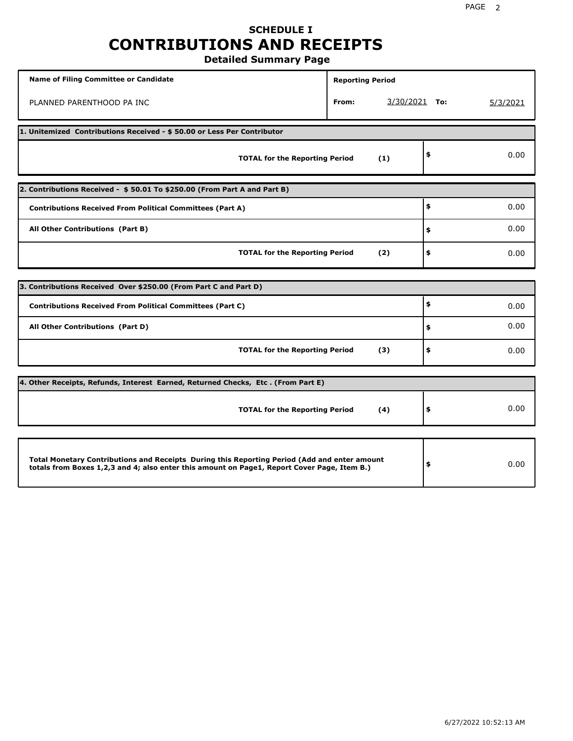## **SCHEDULE I CONTRIBUTIONS AND RECEIPTS Detailed Summary Page**

**Name of Filing Committee or Candidate Reporting Period Reporting Period** PLANNED PARENTHOOD PA INC **From:** 3/30/2021 **To:** 5/3/2021 **1. Unitemized Contributions Received - \$ 50.00 or Less Per Contributor TOTAL for the Reporting Period (1) \$** 0.00 **2. Contributions Received - \$ 50.01 To \$250.00 (From Part A and Part B) TOTAL for the Reporting Period (2) Contributions Received From Political Committees (Part A) All Other Contributions (Part B) \$ \$ \$** 0.00 0.00 0.00 **3. Contributions Received Over \$250.00 (From Part C and Part D) TOTAL for the Reporting Period (3) Contributions Received From Political Committees (Part C) All Other Contributions (Part D) \$ \$ \$** 0.00 0.00 0.00 **4. Other Receipts, Refunds, Interest Earned, Returned Checks, Etc . (From Part E) TOTAL for the Reporting Period (4) \$** 0.00 **Total Monetary Contributions and Receipts During this Reporting Period (Add and enter amount totals from Boxes 1,2,3 and 4; also enter this amount on Page1, Report Cover Page, Item B.) \$** 0.00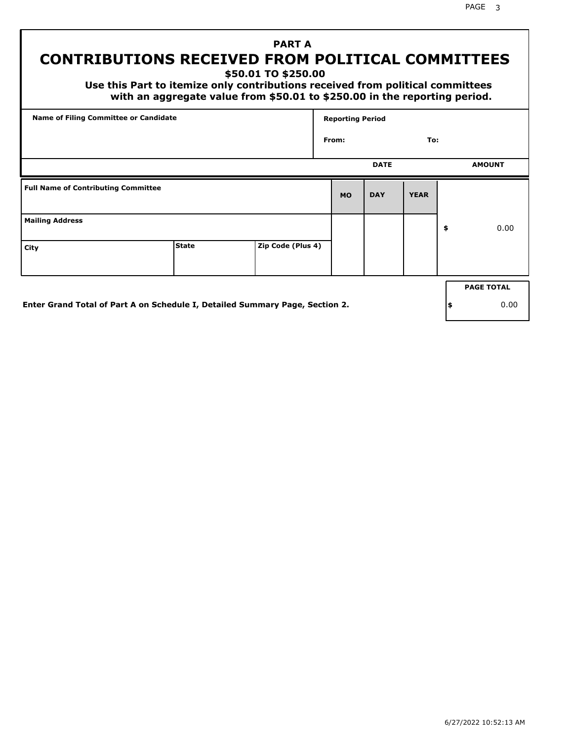PAGE 3

# **PART A CONTRIBUTIONS RECEIVED FROM POLITICAL COMMITTEES**

**\$50.01 TO \$250.00**

 **Use this Part to itemize only contributions received from political committees with an aggregate value from \$50.01 to \$250.00 in the reporting period.**

| Name of Filing Committee or Candidate      |              |                   | <b>Reporting Period</b> |             |             |                   |
|--------------------------------------------|--------------|-------------------|-------------------------|-------------|-------------|-------------------|
|                                            |              |                   | From:                   |             | To:         |                   |
|                                            |              |                   |                         | <b>DATE</b> |             | <b>AMOUNT</b>     |
| <b>Full Name of Contributing Committee</b> |              |                   | <b>MO</b>               | <b>DAY</b>  | <b>YEAR</b> |                   |
| <b>Mailing Address</b>                     |              |                   |                         |             |             | \$<br>0.00        |
| City                                       | <b>State</b> | Zip Code (Plus 4) |                         |             |             |                   |
|                                            |              |                   |                         |             |             | <b>PAGE TOTAL</b> |
|                                            |              |                   |                         |             |             |                   |

**Enter Grand Total of Part A on Schedule I, Detailed Summary Page, Section 2.**

**\$** 0.00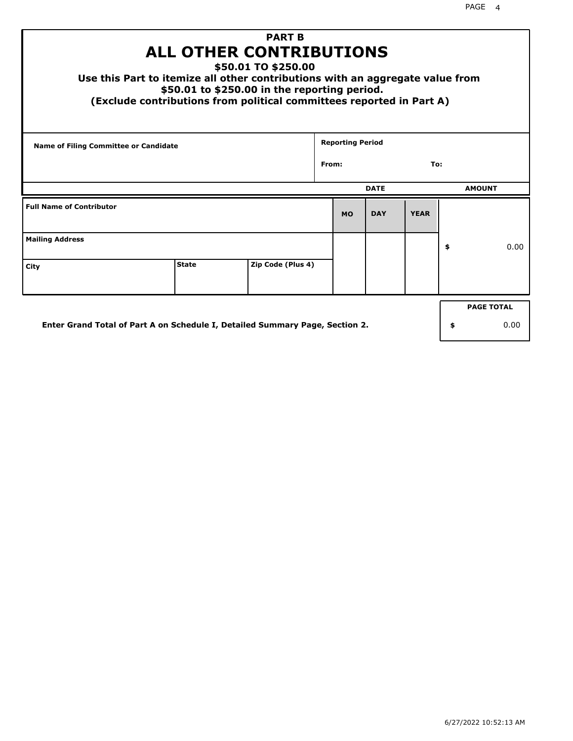| <b>PART B</b><br><b>ALL OTHER CONTRIBUTIONS</b><br>\$50.01 TO \$250.00<br>Use this Part to itemize all other contributions with an aggregate value from<br>\$50.01 to \$250.00 in the reporting period.<br>(Exclude contributions from political committees reported in Part A) |              |                   |  |                         |             |             |    |               |  |
|---------------------------------------------------------------------------------------------------------------------------------------------------------------------------------------------------------------------------------------------------------------------------------|--------------|-------------------|--|-------------------------|-------------|-------------|----|---------------|--|
| Name of Filing Committee or Candidate                                                                                                                                                                                                                                           |              |                   |  | <b>Reporting Period</b> |             |             |    |               |  |
| From:                                                                                                                                                                                                                                                                           |              |                   |  |                         | To:         |             |    |               |  |
|                                                                                                                                                                                                                                                                                 |              |                   |  |                         | <b>DATE</b> |             |    | <b>AMOUNT</b> |  |
| <b>Full Name of Contributor</b>                                                                                                                                                                                                                                                 |              |                   |  | <b>MO</b>               | <b>DAY</b>  | <b>YEAR</b> |    |               |  |
| <b>Mailing Address</b>                                                                                                                                                                                                                                                          |              |                   |  |                         |             |             | \$ | 0.00          |  |
| City                                                                                                                                                                                                                                                                            | <b>State</b> | Zip Code (Plus 4) |  |                         |             |             |    |               |  |
| <b>PAGE TOTAL</b>                                                                                                                                                                                                                                                               |              |                   |  |                         |             |             |    |               |  |
| Enter Grand Total of Part A on Schedule I, Detailed Summary Page, Section 2.<br>0.00<br>\$                                                                                                                                                                                      |              |                   |  |                         |             |             |    |               |  |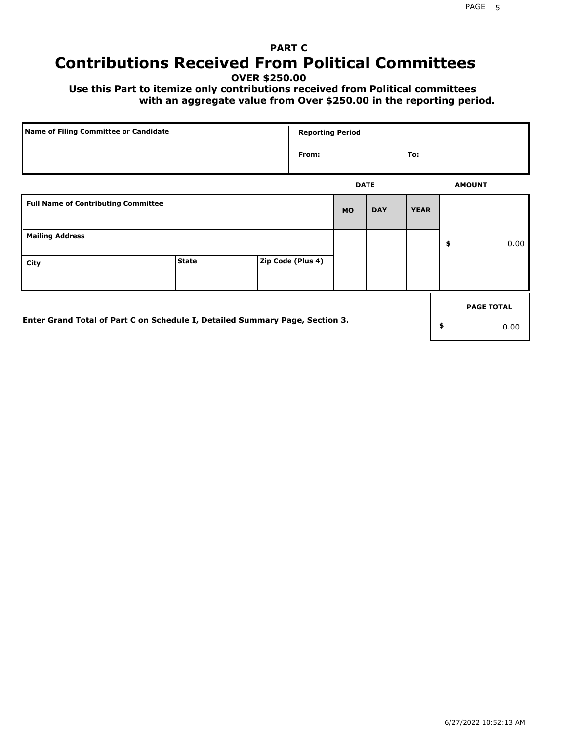# **PART C Contributions Received From Political Committees**

**OVER \$250.00**

 **Use this Part to itemize only contributions received from Political committees with an aggregate value from Over \$250.00 in the reporting period.**

| Name of Filing Committee or Candidate                                        |              | <b>Reporting Period</b> |             |            |             |                   |
|------------------------------------------------------------------------------|--------------|-------------------------|-------------|------------|-------------|-------------------|
|                                                                              |              | From:                   |             |            | To:         |                   |
|                                                                              |              |                         | <b>DATE</b> |            |             | <b>AMOUNT</b>     |
| <b>Full Name of Contributing Committee</b>                                   |              |                         | <b>MO</b>   | <b>DAY</b> | <b>YEAR</b> |                   |
| <b>Mailing Address</b>                                                       |              |                         |             |            |             | \$<br>0.00        |
| City                                                                         | <b>State</b> | Zip Code (Plus 4)       |             |            |             |                   |
|                                                                              |              |                         |             |            |             | <b>PAGE TOTAL</b> |
| Enter Grand Total of Part C on Schedule I, Detailed Summary Page, Section 3. |              |                         |             |            |             | \$<br>0.00        |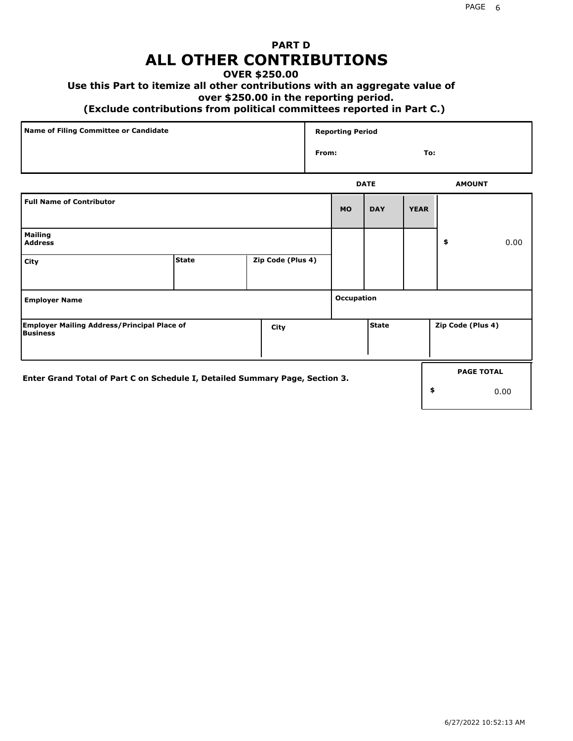# **PART D ALL OTHER CONTRIBUTIONS**

#### **OVER \$250.00**

#### **Use this Part to itemize all other contributions with an aggregate value of**

#### **over \$250.00 in the reporting period.**

#### **(Exclude contributions from political committees reported in Part C.)**

| Name of Filing Committee or Candidate | <b>Reporting Period</b> |     |
|---------------------------------------|-------------------------|-----|
|                                       | From:                   | To: |
|                                       |                         |     |

|                                                                              |              |                   |                   | <b>DATE</b>  |             | <b>AMOUNT</b>     |
|------------------------------------------------------------------------------|--------------|-------------------|-------------------|--------------|-------------|-------------------|
| <b>Full Name of Contributor</b>                                              |              |                   | <b>MO</b>         | <b>DAY</b>   | <b>YEAR</b> |                   |
| <b>Mailing</b><br><b>Address</b>                                             |              |                   |                   |              |             | \$<br>0.00        |
| City                                                                         | <b>State</b> | Zip Code (Plus 4) |                   |              |             |                   |
| <b>Employer Name</b>                                                         |              |                   | <b>Occupation</b> |              |             |                   |
| <b>Employer Mailing Address/Principal Place of</b><br>Business               |              | City              |                   | <b>State</b> |             | Zip Code (Plus 4) |
| Enter Grand Total of Part C on Schedule I, Detailed Summary Page, Section 3. |              |                   |                   |              |             | <b>PAGE TOTAL</b> |
|                                                                              |              |                   |                   |              |             | \$<br>0.00        |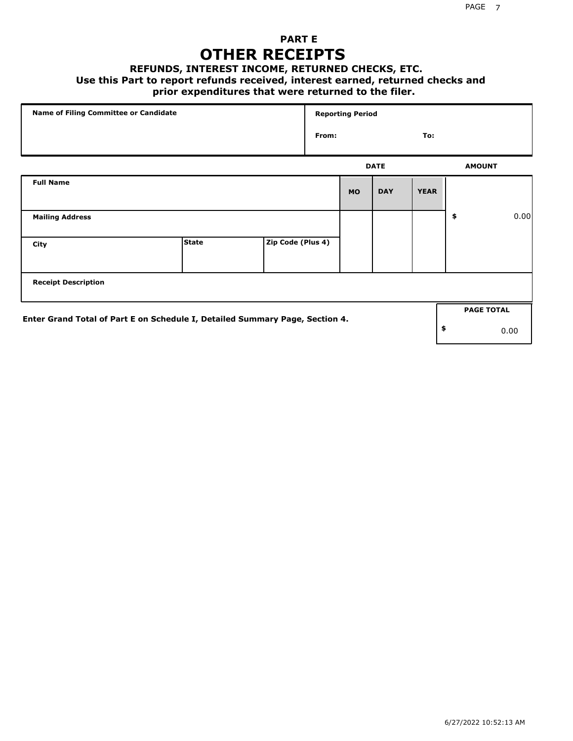## **PART E OTHER RECEIPTS**

#### **REFUNDS, INTEREST INCOME, RETURNED CHECKS, ETC.**

 **Use this Part to report refunds received, interest earned, returned checks and**

### **prior expenditures that were returned to the filer.**

| Name of Filing Committee or Candidate                                        |              |                   |              | <b>Reporting Period</b> |             |             |    |                   |      |
|------------------------------------------------------------------------------|--------------|-------------------|--------------|-------------------------|-------------|-------------|----|-------------------|------|
|                                                                              |              |                   | From:<br>To: |                         |             |             |    |                   |      |
|                                                                              |              |                   |              |                         | <b>DATE</b> |             |    | <b>AMOUNT</b>     |      |
| <b>Full Name</b>                                                             |              |                   |              | <b>MO</b>               | <b>DAY</b>  | <b>YEAR</b> |    |                   |      |
| <b>Mailing Address</b>                                                       |              |                   |              |                         |             |             | \$ |                   | 0.00 |
| City                                                                         | <b>State</b> | Zip Code (Plus 4) |              |                         |             |             |    |                   |      |
| <b>Receipt Description</b>                                                   |              |                   |              |                         |             |             |    |                   |      |
|                                                                              |              |                   |              |                         |             |             |    | <b>PAGE TOTAL</b> |      |
| Enter Grand Total of Part E on Schedule I, Detailed Summary Page, Section 4. |              |                   |              |                         |             |             | \$ |                   | 0.00 |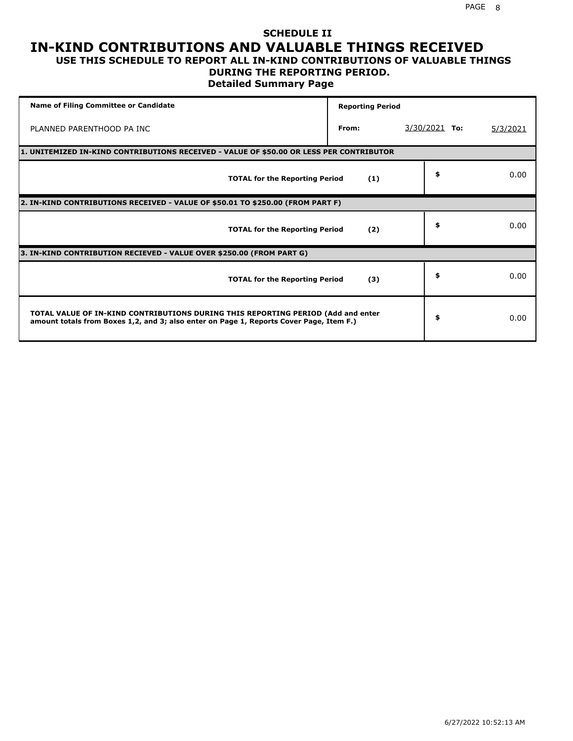#### **SCHEDULE II IN-KIND CONTRIBUTIONS AND VALUABLE THINGS RECEIVED USE THIS SCHEDULE TO REPORT ALL IN-KIND CONTRIBUTIONS OF VALUABLE THINGS**

## **DURING THE REPORTING PERIOD.**

**Detailed Summary Page**

| <b>Name of Filing Committee or Candidate</b>                                                                                                                                | <b>Reporting Period</b> |                 |          |
|-----------------------------------------------------------------------------------------------------------------------------------------------------------------------------|-------------------------|-----------------|----------|
| PLANNED PARENTHOOD PA INC                                                                                                                                                   | From:                   | $3/30/2021$ To: | 5/3/2021 |
| 1. UNITEMIZED IN-KIND CONTRIBUTIONS RECEIVED - VALUE OF \$50.00 OR LESS PER CONTRIBUTOR                                                                                     |                         |                 |          |
| <b>TOTAL for the Reporting Period</b>                                                                                                                                       | (1)                     | \$              | 0.00     |
| 2. IN-KIND CONTRIBUTIONS RECEIVED - VALUE OF \$50.01 TO \$250.00 (FROM PART F)                                                                                              |                         |                 |          |
| <b>TOTAL for the Reporting Period</b>                                                                                                                                       | (2)                     | \$              | 0.00     |
| 3. IN-KIND CONTRIBUTION RECIEVED - VALUE OVER \$250.00 (FROM PART G)                                                                                                        |                         |                 |          |
| <b>TOTAL for the Reporting Period</b>                                                                                                                                       | (3)                     | \$              | 0.00     |
| TOTAL VALUE OF IN-KIND CONTRIBUTIONS DURING THIS REPORTING PERIOD (Add and enter<br>amount totals from Boxes 1,2, and 3; also enter on Page 1, Reports Cover Page, Item F.) |                         | \$              | 0.00     |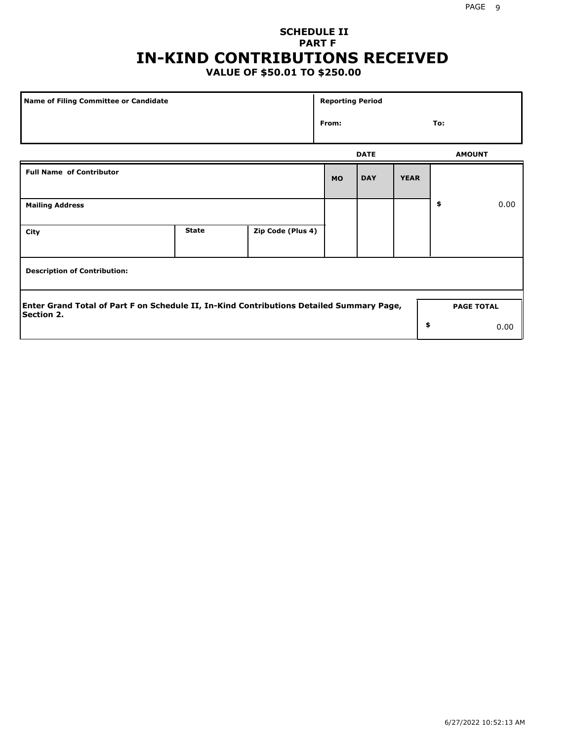# **SCHEDULE II PART F IN-KIND CONTRIBUTIONS RECEIVED**

## **VALUE OF \$50.01 TO \$250.00**

| Name of Filing Committee or Candidate                                                                         |              |                   | <b>Reporting Period</b> |             |             |                   |      |
|---------------------------------------------------------------------------------------------------------------|--------------|-------------------|-------------------------|-------------|-------------|-------------------|------|
|                                                                                                               |              |                   | From:                   |             |             | To:               |      |
|                                                                                                               |              |                   |                         | <b>DATE</b> |             | <b>AMOUNT</b>     |      |
| <b>Full Name of Contributor</b>                                                                               |              |                   | <b>MO</b>               | <b>DAY</b>  | <b>YEAR</b> |                   |      |
| <b>Mailing Address</b>                                                                                        |              |                   |                         |             |             | \$                | 0.00 |
| City                                                                                                          | <b>State</b> | Zip Code (Plus 4) |                         |             |             |                   |      |
| <b>Description of Contribution:</b>                                                                           |              |                   |                         |             |             |                   |      |
| Enter Grand Total of Part F on Schedule II, In-Kind Contributions Detailed Summary Page,<br><b>Section 2.</b> |              |                   |                         |             |             | <b>PAGE TOTAL</b> |      |
|                                                                                                               |              |                   |                         |             | \$          |                   | 0.00 |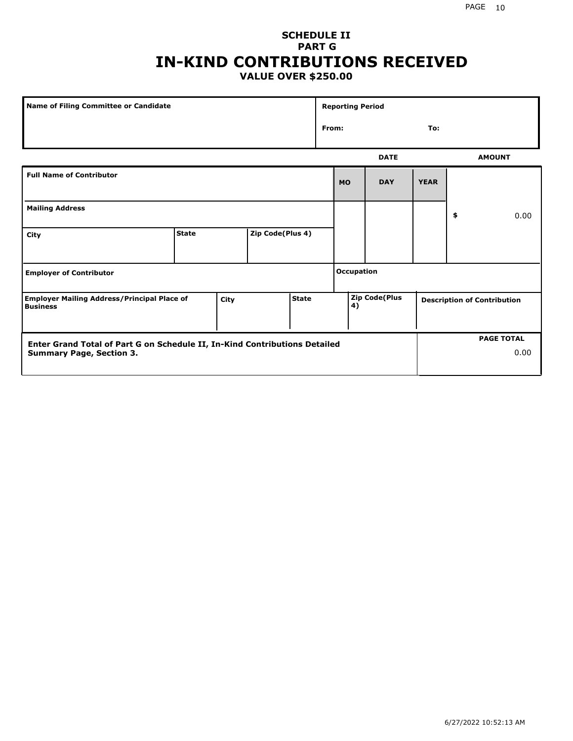### **SCHEDULE II PART G IN-KIND CONTRIBUTIONS RECEIVED VALUE OVER \$250.00**

| Name of Filing Committee or Candidate                                 |              |      |                  |       |                   | <b>Reporting Period</b> |                      |  |    |                                    |
|-----------------------------------------------------------------------|--------------|------|------------------|-------|-------------------|-------------------------|----------------------|--|----|------------------------------------|
|                                                                       |              |      |                  |       | From:<br>To:      |                         |                      |  |    |                                    |
|                                                                       |              |      |                  |       |                   |                         | <b>DATE</b>          |  |    | <b>AMOUNT</b>                      |
| <b>Full Name of Contributor</b>                                       |              |      |                  |       | <b>MO</b>         | <b>DAY</b>              | <b>YEAR</b>          |  |    |                                    |
| <b>Mailing Address</b>                                                |              |      |                  |       |                   |                         |                      |  | \$ | 0.00                               |
| City                                                                  | <b>State</b> |      | Zip Code(Plus 4) |       |                   |                         |                      |  |    |                                    |
| <b>Employer of Contributor</b>                                        |              |      |                  |       | <b>Occupation</b> |                         |                      |  |    |                                    |
| <b>Employer Mailing Address/Principal Place of</b><br><b>Business</b> |              | City |                  | State |                   | 4)                      | <b>Zip Code(Plus</b> |  |    | <b>Description of Contribution</b> |

| <b>Enter Grand Total of Part G on Schedule II, In-Kind Contributions Detailed</b> |  | <b>PAGE TOTAL</b> |
|-----------------------------------------------------------------------------------|--|-------------------|
| <b>Summary Page, Section 3.</b>                                                   |  | 0.00              |
|                                                                                   |  |                   |